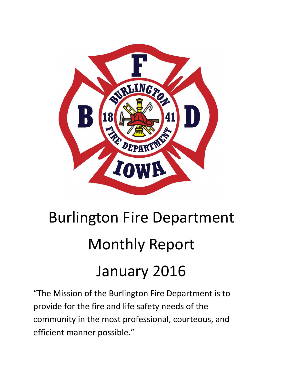

# Burlington Fire Department Monthly Report January 2016

"The Mission of the Burlington Fire Department is to provide for the fire and life safety needs of the community in the most professional, courteous, and efficient manner possible."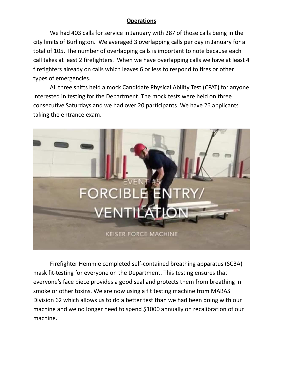# **Operations**

We had 403 calls for service in January with 287 of those calls being in the city limits of Burlington. We averaged 3 overlapping calls per day in January for a total of 105. The number of overlapping calls is important to note because each call takes at least 2 firefighters. When we have overlapping calls we have at least 4 firefighters already on calls which leaves 6 or less to respond to fires or other types of emergencies.

All three shifts held a mock Candidate Physical Ability Test (CPAT) for anyone interested in testing for the Department. The mock tests were held on three consecutive Saturdays and we had over 20 participants. We have 26 applicants taking the entrance exam.



Firefighter Hemmie completed self-contained breathing apparatus (SCBA) mask fit-testing for everyone on the Department. This testing ensures that everyone's face piece provides a good seal and protects them from breathing in smoke or other toxins. We are now using a fit testing machine from MABAS Division 62 which allows us to do a better test than we had been doing with our machine and we no longer need to spend \$1000 annually on recalibration of our machine.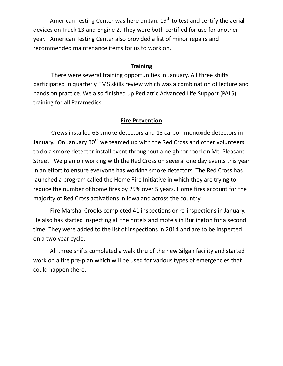American Testing Center was here on Jan.  $19<sup>th</sup>$  to test and certify the aerial devices on Truck 13 and Engine 2. They were both certified for use for another year. American Testing Center also provided a list of minor repairs and recommended maintenance items for us to work on.

#### **Training**

 There were several training opportunities in January. All three shifts participated in quarterly EMS skills review which was a combination of lecture and hands on practice. We also finished up Pediatric Advanced Life Support (PALS) training for all Paramedics.

#### **Fire Prevention**

 Crews installed 68 smoke detectors and 13 carbon monoxide detectors in January. On January 30<sup>th</sup> we teamed up with the Red Cross and other volunteers to do a smoke detector install event throughout a neighborhood on Mt. Pleasant Street. We plan on working with the Red Cross on several one day events this year in an effort to ensure everyone has working smoke detectors. The Red Cross has launched a program called the Home Fire Initiative in which they are trying to reduce the number of home fires by 25% over 5 years. Home fires account for the majority of Red Cross activations in Iowa and across the country.

Fire Marshal Crooks completed 41 inspections or re-inspections in January. He also has started inspecting all the hotels and motels in Burlington for a second time. They were added to the list of inspections in 2014 and are to be inspected on a two year cycle.

All three shifts completed a walk thru of the new Silgan facility and started work on a fire pre-plan which will be used for various types of emergencies that could happen there.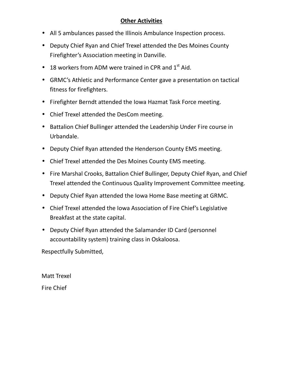# **Other Activities**

- All 5 ambulances passed the Illinois Ambulance Inspection process.
- Deputy Chief Ryan and Chief Trexel attended the Des Moines County Firefighter's Association meeting in Danville.
- 18 workers from ADM were trained in CPR and  $1<sup>st</sup>$  Aid.
- GRMC's Athletic and Performance Center gave a presentation on tactical fitness for firefighters.
- Firefighter Berndt attended the Iowa Hazmat Task Force meeting.
- Chief Trexel attended the DesCom meeting.
- Battalion Chief Bullinger attended the Leadership Under Fire course in Urbandale.
- Deputy Chief Ryan attended the Henderson County EMS meeting.
- Chief Trexel attended the Des Moines County EMS meeting.
- Fire Marshal Crooks, Battalion Chief Bullinger, Deputy Chief Ryan, and Chief Trexel attended the Continuous Quality Improvement Committee meeting.
- Deputy Chief Ryan attended the Iowa Home Base meeting at GRMC.
- Chief Trexel attended the Iowa Association of Fire Chief's Legislative Breakfast at the state capital.
- Deputy Chief Ryan attended the Salamander ID Card (personnel accountability system) training class in Oskaloosa.

Respectfully Submitted,

Matt Trexel Fire Chief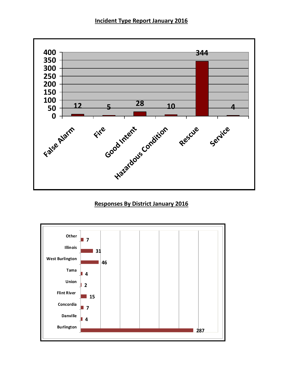### **Incident Type Report January 2016**



# **Responses By District January 2016**

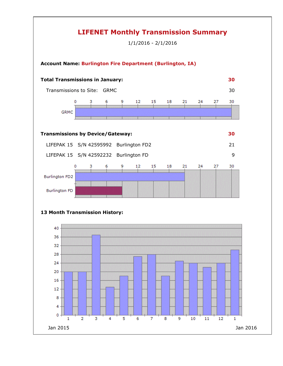